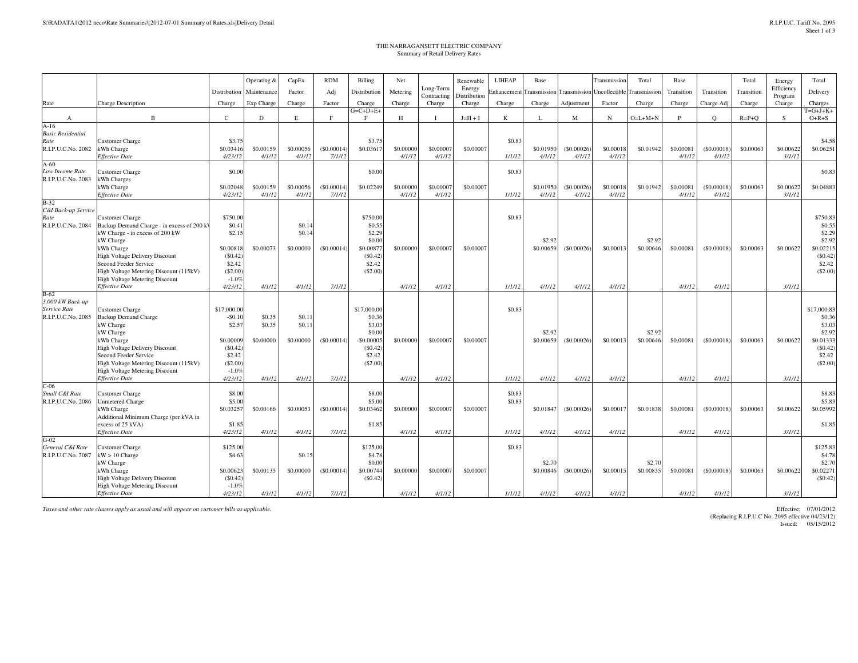## THE NARRAGANSETT ELECTRIC COMPANYSummary of Retail Delivery Rates

|                                      |                                              |                      | Operating &                | CapEx               | <b>RDM</b>           | Billing                | Net                 |                       | Renewable              | LIHEAP           | Base                |                                         | Transmission        | Total       | Base                |                      | Total       | Energy              | Total                |
|--------------------------------------|----------------------------------------------|----------------------|----------------------------|---------------------|----------------------|------------------------|---------------------|-----------------------|------------------------|------------------|---------------------|-----------------------------------------|---------------------|-------------|---------------------|----------------------|-------------|---------------------|----------------------|
|                                      |                                              |                      | Distribution   Maintenance | Factor              | Adj                  | Distribution           | Metering            | Long-Term             | Energy                 | Enhancement      |                     | Transmission Transmission Uncollectible |                     | Transmissio | Transition          | Transition           | Transition  | Efficiency          | Delivery             |
| Rate                                 | <b>Charge Description</b>                    | Charge               | Exp Charge                 | Charge              | Factor               | Charge                 | Charge              | Contracting<br>Charge | Distribution<br>Charge | Charge           | Charge              | Adjustment                              | Factor              | Charge      | Charge              | Charge Adj           | Charge      | Program<br>Charge   | Charges              |
|                                      |                                              |                      |                            |                     |                      | $G = C + D + E +$      |                     |                       |                        |                  |                     |                                         |                     |             |                     |                      |             |                     | $T = G + J + K +$    |
| A                                    | $\mathbf B$                                  | $\mathcal{C}$        | D                          | E                   | F                    | F                      | H                   |                       | $J=H+I$                | K                |                     | M                                       | $_{\rm N}$          | $O=L+M+N$   | Þ                   | $\circ$              | $R = P + Q$ | <sub>S</sub>        | $O+R+S$              |
| $A-16$                               |                                              |                      |                            |                     |                      |                        |                     |                       |                        |                  |                     |                                         |                     |             |                     |                      |             |                     |                      |
| <b>Basic Residential</b><br>Rate     | <b>Customer Charge</b>                       | \$3.75               |                            |                     |                      | \$3.75                 |                     |                       |                        | \$0.83           |                     |                                         |                     |             |                     |                      |             |                     | \$4.58               |
| R.I.P.U.C.No. 2082                   | kWh Charge                                   | \$0.03416            | \$0,00159                  | \$0.00056           | (S0,00014)           | \$0,03617              | \$0,00000           | \$0,00007             | \$0,00007              |                  | \$0,01950           | (S0.00026)                              | \$0,00018           | \$0.01942   | \$0,00081           | (S0.00018)           | \$0,00063   | \$0.00622           | \$0.06251            |
|                                      | Effective Date                               | 4/23/12              | 4/1/12                     | 4/1/12              | 7/1/12               |                        | 4/1/12              | 4/1/12                |                        | 1/1/12           | 4/1/12              | 4/1/12                                  | 4/1/12              |             | 4/1/12              | 4/1/12               |             | 3/1/12              |                      |
| $A-60$                               |                                              |                      |                            |                     |                      |                        |                     |                       |                        |                  |                     |                                         |                     |             |                     |                      |             |                     |                      |
| Low Income Rate                      | Customer Charge                              | \$0.00               |                            |                     |                      | \$0.00                 |                     |                       |                        | \$0.83           |                     |                                         |                     |             |                     |                      |             |                     | \$0.83               |
| R.I.P.U.C.No. 2083                   | kWh Charges                                  |                      |                            |                     |                      |                        |                     |                       |                        |                  |                     |                                         |                     |             |                     |                      |             |                     |                      |
|                                      | kWh Charge<br>Effective Date                 | \$0.02048<br>4/23/12 | \$0.00159<br>4/1/12        | \$0,00056<br>4/1/12 | (S0.00014)<br>7/1/12 | \$0.02249              | \$0,00000<br>4/1/12 | \$0.00007<br>4/1/12   | \$0,00007              | 1/1/12           | \$0.01950<br>4/1/12 | (S0.00026)<br>4/1/12                    | \$0,00018<br>4/1/12 | \$0.01942   | \$0,00081<br>4/1/12 | (S0.00018)<br>4/1/12 | \$0,00063   | \$0.00622<br>3/1/12 | \$0.04883            |
| $B-32$                               |                                              |                      |                            |                     |                      |                        |                     |                       |                        |                  |                     |                                         |                     |             |                     |                      |             |                     |                      |
| C&I Back-up Service                  |                                              |                      |                            |                     |                      |                        |                     |                       |                        |                  |                     |                                         |                     |             |                     |                      |             |                     |                      |
| Rate                                 | <b>Customer Charge</b>                       | \$750.00             |                            |                     |                      | \$750.00               |                     |                       |                        | \$0.83           |                     |                                         |                     |             |                     |                      |             |                     | \$750.83             |
| R.I.P.U.C.No. 2084                   | Backup Demand Charge - in excess of 200 kV   | \$0.41               |                            | \$0.14              |                      | \$0.55                 |                     |                       |                        |                  |                     |                                         |                     |             |                     |                      |             |                     | \$0.55               |
|                                      | kW Charge - in excess of 200 kW<br>kW Charge | \$2.15               |                            | \$0.14              |                      | \$2.29<br>\$0.00       |                     |                       |                        |                  | \$2.92              |                                         |                     | \$2.92      |                     |                      |             |                     | \$2.29<br>\$2.92     |
|                                      | kWh Charge                                   | \$0.00818            | \$0,00073                  | \$0.00000           | (S0.00014)           | \$0.0087               | \$0,00000           | \$0,00007             | \$0,00007              |                  | \$0.00659           | (S0.00026)                              | \$0.00013           | \$0.00646   | \$0.00081           | (S0.00018)           | \$0.00063   | \$0.00622           | \$0.02215            |
|                                      | High Voltage Delivery Discount               | (S0.42)              |                            |                     |                      | (S0.42)                |                     |                       |                        |                  |                     |                                         |                     |             |                     |                      |             |                     | $(\$0.42)$           |
|                                      | Second Feeder Service                        | \$2.42               |                            |                     |                      | \$2.42                 |                     |                       |                        |                  |                     |                                         |                     |             |                     |                      |             |                     | \$2.42               |
|                                      | High Voltage Metering Discount (115kV)       | (\$2.00              |                            |                     |                      | (\$2.00                |                     |                       |                        |                  |                     |                                         |                     |             |                     |                      |             |                     | (S2.00)              |
|                                      | High Voltage Metering Discount               | $-1.0%$              |                            |                     |                      |                        |                     |                       |                        |                  |                     |                                         |                     |             |                     |                      |             |                     |                      |
| $B-62$                               | <b>Effective Date</b>                        | 4/23/12              | 4/1/12                     | 4/1/12              | 7/1/12               |                        | 4/1/12              | 4/1/12                |                        | 1/1/12           | 4/1/12              | 4/1/12                                  | 4/1/12              |             | 4/1/12              | 4/1/12               |             | 3/1/12              |                      |
| 3,000 kW Back-up                     |                                              |                      |                            |                     |                      |                        |                     |                       |                        |                  |                     |                                         |                     |             |                     |                      |             |                     |                      |
| Service Rate                         | <b>Customer Charge</b>                       | \$17,000.00          |                            |                     |                      | \$17,000.00            |                     |                       |                        | \$0.83           |                     |                                         |                     |             |                     |                      |             |                     | \$17,000.83          |
| R.I.P.U.C.No. 2085                   | <b>Backup Demand Charge</b>                  | $-$0.10$             | \$0.35                     | \$0.11              |                      | \$0.36                 |                     |                       |                        |                  |                     |                                         |                     |             |                     |                      |             |                     | \$0.36               |
|                                      | kW Charge                                    | \$2.57               | \$0.35                     | \$0.11              |                      | \$3.0                  |                     |                       |                        |                  |                     |                                         |                     |             |                     |                      |             |                     | \$3.03               |
|                                      | kW Charge                                    |                      |                            |                     |                      | \$0.00                 |                     |                       |                        |                  | \$2.92              |                                         |                     | \$2.92      |                     |                      |             |                     | \$2.92               |
|                                      | kWh Charge<br>High Voltage Delivery Discount | \$0.00009<br>(S0.42) | \$0,00000                  | \$0.00000           | (S0.00014)           | $-$0.00005$<br>(S0.42) | \$0,00000           | \$0.00007             | \$0,00007              |                  | \$0.00659           | (S0.00026)                              | \$0,00013           | \$0,00646   | \$0.00081           | (S0.00018)           | \$0.00063   | \$0.00622           | \$0.01333<br>(S0.42) |
|                                      | Second Feeder Service                        | \$2.42               |                            |                     |                      | \$2.42                 |                     |                       |                        |                  |                     |                                         |                     |             |                     |                      |             |                     | \$2.42               |
|                                      | High Voltage Metering Discount (115kV)       | (\$2.00              |                            |                     |                      | (\$2.00                |                     |                       |                        |                  |                     |                                         |                     |             |                     |                      |             |                     | (\$2.00)             |
|                                      | High Voltage Metering Discount               | $-1.0%$              |                            |                     |                      |                        |                     |                       |                        |                  |                     |                                         |                     |             |                     |                      |             |                     |                      |
|                                      | <b>Effective Date</b>                        | 4/23/12              | 4/1/12                     | 4/1/12              | 7/1/12               |                        | 4/1/12              | 4/1/12                |                        | 1/1/12           | 4/1/12              | 4/1/12                                  | 4/1/12              |             | 4/1/12              | 4/1/12               |             | 3/1/12              |                      |
| $C-06$                               |                                              |                      |                            |                     |                      |                        |                     |                       |                        |                  |                     |                                         |                     |             |                     |                      |             |                     |                      |
| Small C&I Rate<br>R.I.P.U.C.No. 2086 | <b>Customer Charge</b>                       | \$8.00<br>\$5.00     |                            |                     |                      | \$8.00<br>\$5.00       |                     |                       |                        | \$0.83<br>\$0.83 |                     |                                         |                     |             |                     |                      |             |                     | \$8.83<br>\$5.83     |
|                                      | Unmetered Charge<br>kWh Charge               | \$0.03257            | \$0.00166                  | \$0.00053           | (S0.00014)           | \$0.03462              | \$0,00000           | \$0,00007             | \$0,00007              |                  | \$0.01847           | (S0.00026)                              | \$0,0001            | \$0.01838   | \$0,00081           | (S0.00018)           | \$0,00063   | \$0.00622           | \$0.05992            |
|                                      | Additional Minimum Charge (per kVA in        |                      |                            |                     |                      |                        |                     |                       |                        |                  |                     |                                         |                     |             |                     |                      |             |                     |                      |
|                                      | excess of 25 kVA)                            | \$1.85               |                            |                     |                      | \$1.85                 |                     |                       |                        |                  |                     |                                         |                     |             |                     |                      |             |                     | \$1.85               |
|                                      | Effective Date                               | 4/23/12              | 4/1/12                     | 4/1/12              | 7/1/12               |                        | 4/1/12              | 4/1/12                |                        | 1/1/12           | 4/1/12              | 4/1/12                                  | 4/1/12              |             | 4/1/12              | 4/1/12               |             | 3/1/12              |                      |
| $G-02$                               |                                              |                      |                            |                     |                      |                        |                     |                       |                        |                  |                     |                                         |                     |             |                     |                      |             |                     |                      |
| General C&I Rate                     | <b>Customer Charge</b>                       | \$125.00             |                            |                     |                      | \$125.00               |                     |                       |                        | \$0.83           |                     |                                         |                     |             |                     |                      |             |                     | \$125.83             |
| R.I.P.U.C.No. 2087                   | $kW > 10$ Charge<br>kW Charge                | \$4.63               |                            | \$0.15              |                      | \$4.78<br>\$0.00       |                     |                       |                        |                  | \$2.70              |                                         |                     | \$2.70      |                     |                      |             |                     | \$4.78<br>\$2.70     |
|                                      | kWh Charge                                   | \$0.00623            | \$0.00135                  | \$0.00000           | (S0.00014)           | \$0.00744              | \$0,00000           | \$0.00007             | \$0.00007              |                  | \$0.00846           | (S0.00026)                              | \$0.00015           | \$0.00835   | \$0.00081           | (S0.00018)           | \$0.00063   | \$0.00622           | \$0.02271            |
|                                      | High Voltage Delivery Discount               | (S0.42)              |                            |                     |                      | (S0.42)                |                     |                       |                        |                  |                     |                                         |                     |             |                     |                      |             |                     | $(\$0.42)$           |
|                                      | <b>High Voltage Metering Discount</b>        | $-1.0%$              |                            |                     |                      |                        |                     |                       |                        |                  |                     |                                         |                     |             |                     |                      |             |                     |                      |
|                                      | <b>Effective Date</b>                        | 4/23/12              | 4/1/12                     | 4/1/12              | 7/1/12               |                        | 4/1/12              | 4/1/12                |                        | 1/1/12           | 4/1/12              | 4/1/12                                  | 4/1/12              |             | 4/1/12              | 4/1/12               |             | 3/1/12              |                      |

*Taxes and other rate clauses apply as usual and will appear on customer bills as applicable.*

 Effective: 07/01/2012 (Replacing R.I.P.U.C No. 2095 effective 04/23/12)Issued: 05/15/2012